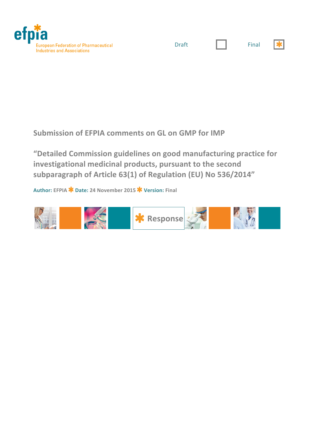



 $\mathbf{r}$ 

Submission of EFPIA comments on GL on GMP for IMP

"Detailed Commission guidelines on good manufacturing practice for investigational medicinal products, pursuant to the second subparagraph of Article 63(1) of Regulation (EU) No 536/2014"

**Author: EFPIA Date: 24!November!2015 Version: Final**

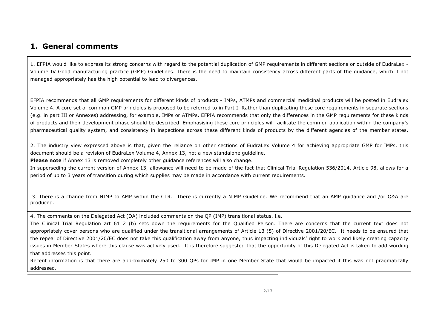## **1. General comments**

1. EFPIA would like to express its strong concerns with regard to the potential duplication of GMP requirements in different sections or outside of EudraLex -Volume IV Good manufacturing practice (GMP) Guidelines. There is the need to maintain consistency across different parts of the guidance, which if not managed appropriately has the high potential to lead to divergences.

EFPIA recommends that all GMP requirements for different kinds of products - IMPs, ATMPs and commercial medicinal products will be posted in Eudralex Volume 4. A core set of common GMP principles is proposed to be referred to in Part I. Rather than duplicating these core requirements in separate sections (e.g. in part III or Annexes) addressing, for example, IMPs or ATMPs, EFPIA recommends that only the differences in the GMP requirements for these kinds of products and their development phase should be described. Emphasising these core principles will facilitate the common application within the company's pharmaceutical quality system, and consistency in inspections across these different kinds of products by the different agencies of the member states.

2. The industry view expressed above is that, given the reliance on other sections of EudraLex Volume 4 for achieving appropriate GMP for IMPs, this document should be a revision of EudraLex Volume 4, Annex 13, not a new standalone guideline.

**Please note** if Annex 13 is removed completely other guidance references will also change.

In superseding the current version of Annex 13, allowance will need to be made of the fact that Clinical Trial Regulation 536/2014, Article 98, allows for a period of up to 3 years of transition during which supplies may be made in accordance with current requirements.

3. There is a change from NIMP to AMP within the CTR. There is currently a NIMP Guideline. We recommend that an AMP guidance and /or Q&A are produced.

4. The comments on the Delegated Act (DA) included comments on the QP (IMP) transitional status. i.e.

The Clinical Trial Regulation art 61 2 (b) sets down the requirements for the Qualified Person. There are concerns that the current text does not appropriately cover persons who are qualified under the transitional arrangements of Article 13 (5) of Directive 2001/20/EC. It needs to be ensured that the repeal of Directive 2001/20/EC does not take this qualification away from anyone, thus impacting individuals' right to work and likely creating capacity issues in Member States where this clause was actively used. It is therefore suggested that the opportunity of this Delegated Act is taken to add wording that addresses this point.

Recent information is that there are approximately 250 to 300 QPs for IMP in one Member State that would be impacted if this was not pragmatically addressed.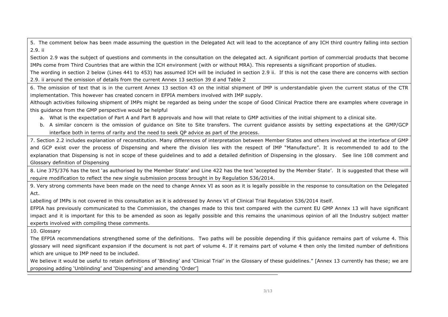5. The comment below has been made assuming the question in the Delegated Act will lead to the acceptance of any ICH third country falling into section 2.9. ii

Section 2.9 was the subject of questions and comments in the consultation on the delegated act. A significant portion of commercial products that become IMPs come from Third Countries that are within the ICH environment (with or without MRA). This represents a significant proportion of studies.

The wording in section 2 below (Lines 441 to 453) has assumed ICH will be included in section 2.9 ii. If this is not the case there are concerns with section 2.9. ii around the omission of details from the current Annex 13 section 39 d and Table 2

6. The omission of text that is in the current Annex 13 section 43 on the initial shipment of IMP is understandable given the current status of the CTR implementation. This however has created concern in EFPIA members involved with IMP supply.

Although activities following shipment of IMPs might be regarded as being under the scope of Good Clinical Practice there are examples where coverage in this guidance from the GMP perspective would be helpful

- a. What is the expectation of Part A and Part B approvals and how will that relate to GMP activities of the initial shipment to a clinical site.
- b. A similar concern is the omission of guidance on Site to Site transfers. The current guidance assists by setting expectations at the GMP/GCP interface both in terms of rarity and the need to seek QP advice as part of the process.

7. Section 2.2 includes explanation of reconstitution. Many differences of interpretation between Member States and others involved at the interface of GMP and GCP exist over the process of Dispensing and where the division lies with the respect of IMP "Manufacture". It is recommended to add to the explanation that Dispensing is not in scope of these guidelines and to add a detailed definition of Dispensing in the glossary. See line 108 comment and Glossary definition of Dispensing

8. Line 375/376 has the text 'as authorised by the Member State' and Line 422 has the text 'accepted by the Member State'. It is suggested that these will require modification to reflect the new single submission process brought in by Regulation 536/2014.

9. Very strong comments have been made on the need to change Annex VI as soon as it is legally possible in the response to consultation on the Delegated Act.

Labelling of IMPs is not covered in this consultation as it is addressed by Annex VI of Clinical Trial Regulation 536/2014 itself.

EFPIA has previously communicated to the Commission, the changes made to this text compared with the current EU GMP Annex 13 will have significant impact and it is important for this to be amended as soon as legally possible and this remains the unanimous opinion of all the Industry subject matter experts involved with compiling these comments.

10. Glossary

The EFPIA recommendations strengthened some of the definitions. Two paths will be possible depending if this guidance remains part of volume 4. This glossary will need significant expansion if the document is not part of volume 4. If it remains part of volume 4 then only the limited number of definitions which are unique to IMP need to be included.

We believe it would be useful to retain definitions of 'Blinding' and 'Clinical Trial' in the Glossary of these guidelines." [Annex 13 currently has these; we are proposing adding 'Unblinding' and 'Dispensing' and amending 'Order']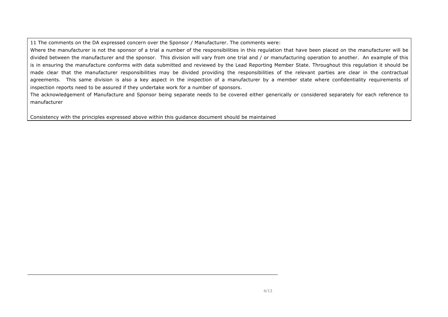11 The comments on the DA expressed concern over the Sponsor / Manufacturer. The comments were:

Where the manufacturer is not the sponsor of a trial a number of the responsibilities in this regulation that have been placed on the manufacturer will be divided between the manufacturer and the sponsor. This division will vary from one trial and / or manufacturing operation to another. An example of this is in ensuring the manufacture conforms with data submitted and reviewed by the Lead Reporting Member State. Throughout this regulation it should be made clear that the manufacturer responsibilities may be divided providing the responsibilities of the relevant parties are clear in the contractual agreements. This same division is also a key aspect in the inspection of a manufacturer by a member state where confidentiality requirements of inspection reports need to be assured if they undertake work for a number of sponsors.

The acknowledgement of Manufacture and Sponsor being separate needs to be covered either generically or considered separately for each reference to manufacturer

Consistency with the principles expressed above within this guidance document should be maintained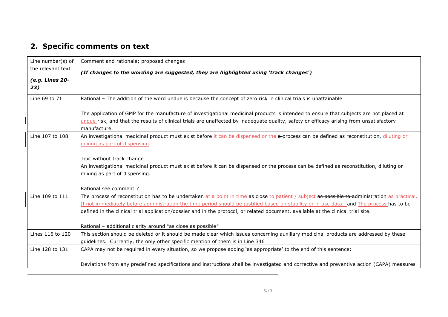## **2. Specific comments on text**

| Line number(s) of<br>the relevant text | Comment and rationale; proposed changes                                                                                                                                                                                                                                                                                                                                                                                           |
|----------------------------------------|-----------------------------------------------------------------------------------------------------------------------------------------------------------------------------------------------------------------------------------------------------------------------------------------------------------------------------------------------------------------------------------------------------------------------------------|
|                                        | (If changes to the wording are suggested, they are highlighted using 'track changes')                                                                                                                                                                                                                                                                                                                                             |
| (e.g. Lines 20-<br>23)                 |                                                                                                                                                                                                                                                                                                                                                                                                                                   |
| Line 69 to 71                          | Rational - The addition of the word undue is because the concept of zero risk in clinical trials is unattainable                                                                                                                                                                                                                                                                                                                  |
|                                        | The application of GMP for the manufacture of investigational medicinal products is intended to ensure that subjects are not placed at<br>undue risk, and that the results of clinical trials are unaffected by inadequate quality, safety or efficacy arising from unsatisfactory<br>manufacture.                                                                                                                                |
| Line 107 to 108                        | An investigational medicinal product must exist before it can be dispensed or the a-process can be defined as reconstitution, diluting or<br>mixing as part of dispensing.                                                                                                                                                                                                                                                        |
|                                        | Text without track change<br>An investigational medicinal product must exist before it can be dispensed or the process can be defined as reconstitution, diluting or<br>mixing as part of dispensing.                                                                                                                                                                                                                             |
|                                        | Rational see comment 7                                                                                                                                                                                                                                                                                                                                                                                                            |
| Line 109 to 111                        | The process of reconstitution has to be undertaken at a point in time as close to patient / subject as possible to-administration as practical.<br>If not immediately before administration the time period should be justified based on stability or in use data. and The process has to be<br>defined in the clinical trial application/dossier and in the protocol, or related document, available at the clinical trial site. |
|                                        | Rational - additional clarity around "as close as possible"                                                                                                                                                                                                                                                                                                                                                                       |
| Lines 116 to 120                       | This section should be deleted or it should be made clear which issues concerning auxiliary medicinal products are addressed by these<br>guidelines. Currently, the only other specific mention of them is in Line 346                                                                                                                                                                                                            |
| Line 128 to 131                        | CAPA may not be required in every situation, so we propose adding 'as appropriate' to the end of this sentence:                                                                                                                                                                                                                                                                                                                   |
|                                        | Deviations from any predefined specifications and instructions shall be investigated and corrective and preventive action (CAPA) measures                                                                                                                                                                                                                                                                                         |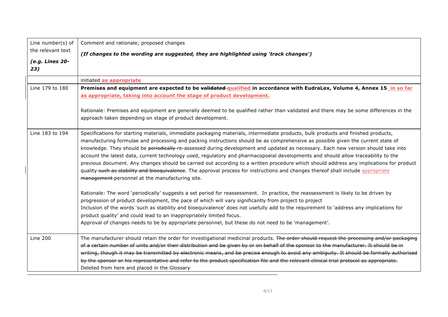| Line number(s) of      | Comment and rationale; proposed changes                                                                                                                                                                                                                                                                                                                                                                                                                                                                                                                                                                                                                                                                                                                                                                                                                                            |
|------------------------|------------------------------------------------------------------------------------------------------------------------------------------------------------------------------------------------------------------------------------------------------------------------------------------------------------------------------------------------------------------------------------------------------------------------------------------------------------------------------------------------------------------------------------------------------------------------------------------------------------------------------------------------------------------------------------------------------------------------------------------------------------------------------------------------------------------------------------------------------------------------------------|
| the relevant text      | (If changes to the wording are suggested, they are highlighted using 'track changes')                                                                                                                                                                                                                                                                                                                                                                                                                                                                                                                                                                                                                                                                                                                                                                                              |
| (e.g. Lines 20-<br>23) |                                                                                                                                                                                                                                                                                                                                                                                                                                                                                                                                                                                                                                                                                                                                                                                                                                                                                    |
|                        | initiated as appropriate                                                                                                                                                                                                                                                                                                                                                                                                                                                                                                                                                                                                                                                                                                                                                                                                                                                           |
| Line 179 to 180        | Premises and equipment are expected to be validated qualified in accordance with EudraLex, Volume 4, Annex 15 in so far<br>as appropriate, taking into account the stage of product development.                                                                                                                                                                                                                                                                                                                                                                                                                                                                                                                                                                                                                                                                                   |
|                        | Rationale: Premises and equipment are generally deemed to be qualified rather than validated and there may be some differences in the<br>approach taken depending on stage of product development.                                                                                                                                                                                                                                                                                                                                                                                                                                                                                                                                                                                                                                                                                 |
| Line 183 to 194        | Specifications for starting materials, immediate packaging materials, intermediate products, bulk products and finished products,<br>manufacturing formulae and processing and packing instructions should be as comprehensive as possible given the current state of<br>knowledge. They should be periodically re-assessed during development and updated as necessary. Each new version should take into<br>account the latest data, current technology used, regulatory and pharmacopoeial developments and should allow traceability to the<br>previous document. Any changes should be carried out according to a written procedure which should address any implications for product<br>quality-such as stability and bioequivalence. The approval process for instructions and changes thereof shall include appropriate<br>management-personnel at the manufacturing site. |
|                        | Rationale: The word 'periodically' suggests a set period for reassessment. In practice, the reassessment is likely to be driven by<br>progression of product development, the pace of which will vary significantly from project to project<br>Inclusion of the words 'such as stability and bioequivalence' does not usefully add to the requirement to 'address any implications for<br>product quality' and could lead to an inappropriately limited focus.<br>Approval of changes needs to be by appropriate personnel, but these do not need to be 'management'.                                                                                                                                                                                                                                                                                                              |
| <b>Line 200</b>        | The manufacturer should retain the order for investigational medicinal products. The order should request the processing and/or packaging<br>of a certain number of units and/or their distribution and be given by or on behalf of the sponsor to the manufacturer. It should be in<br>writing, though it may be transmitted by electronic means, and be precise enough to avoid any ambiguity. It should be formally authorised<br>by the sponsor or his representative and refer to the product specification file and the relevant clinical trial protocol as appropriate.<br>Deleted from here and placed in the Glossary                                                                                                                                                                                                                                                     |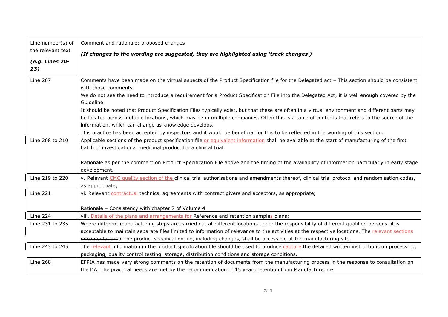| Line number(s) of      | Comment and rationale; proposed changes                                                                                                                                                                           |
|------------------------|-------------------------------------------------------------------------------------------------------------------------------------------------------------------------------------------------------------------|
| the relevant text      | (If changes to the wording are suggested, they are highlighted using 'track changes')                                                                                                                             |
| (e.g. Lines 20-<br>23) |                                                                                                                                                                                                                   |
| <b>Line 207</b>        | Comments have been made on the virtual aspects of the Product Specification file for the Delegated act - This section should be consistent                                                                        |
|                        | with those comments.                                                                                                                                                                                              |
|                        | We do not see the need to introduce a requirement for a Product Specification File into the Delegated Act; it is well enough covered by the<br>Guideline.                                                         |
|                        | It should be noted that Product Specification Files typically exist, but that these are often in a virtual environment and different parts may                                                                    |
|                        | be located across multiple locations, which may be in multiple companies. Often this is a table of contents that refers to the source of the<br>information, which can change as knowledge develops.              |
|                        | This practice has been accepted by inspectors and it would be beneficial for this to be reflected in the wording of this section.                                                                                 |
| Line 208 to 210        | Applicable sections of the product specification file or equivalent information shall be available at the start of manufacturing of the first<br>batch of investigational medicinal product for a clinical trial. |
|                        | Rationale as per the comment on Product Specification File above and the timing of the availability of information particularly in early stage<br>development.                                                    |
| Line 219 to 220        | v. Relevant CMC quality section of the clinical trial authorisations and amendments thereof, clinical trial protocol and randomisation codes,<br>as appropriate;                                                  |
| <b>Line 221</b>        | vi. Relevant contractual technical agreements with contract givers and acceptors, as appropriate;                                                                                                                 |
|                        | Rationale - Consistency with chapter 7 of Volume 4                                                                                                                                                                |
| <b>Line 224</b>        | viii. Details of the plans and arrangements for Reference and retention samples-plans;                                                                                                                            |
| Line 231 to 235        | Where different manufacturing steps are carried out at different locations under the responsibility of different qualified persons, it is                                                                         |
|                        | acceptable to maintain separate files limited to information of relevance to the activities at the respective locations. The relevant sections                                                                    |
|                        | documentation of the product specification file, including changes, shall be accessible at the manufacturing site.                                                                                                |
| Line 243 to 245        | The relevant information in the product specification file should be used to produce-capture-the detailed written instructions on processing,                                                                     |
|                        | packaging, quality control testing, storage, distribution conditions and storage conditions.                                                                                                                      |
| <b>Line 268</b>        | EFPIA has made very strong comments on the retention of documents from the manufacturing process in the response to consultation on                                                                               |
|                        | the DA. The practical needs are met by the recommendation of 15 years retention from Manufacture. i.e.                                                                                                            |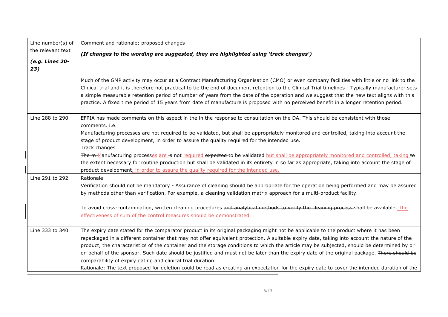| Line number(s) of      | Comment and rationale; proposed changes                                                                                                                                                                                                                                                                                                                                                                                                                                                                                                                                                                                                         |
|------------------------|-------------------------------------------------------------------------------------------------------------------------------------------------------------------------------------------------------------------------------------------------------------------------------------------------------------------------------------------------------------------------------------------------------------------------------------------------------------------------------------------------------------------------------------------------------------------------------------------------------------------------------------------------|
| the relevant text      | (If changes to the wording are suggested, they are highlighted using 'track changes')                                                                                                                                                                                                                                                                                                                                                                                                                                                                                                                                                           |
| (e.g. Lines 20-<br>23) |                                                                                                                                                                                                                                                                                                                                                                                                                                                                                                                                                                                                                                                 |
|                        | Much of the GMP activity may occur at a Contract Manufacturing Organisation (CMO) or even company facilities with little or no link to the<br>Clinical trial and it is therefore not practical to tie the end of document retention to the Clinical Trial timelines - Typically manufacturer sets<br>a simple measurable retention period of number of years from the date of the operation and we suggest that the new text aligns with this<br>practice. A fixed time period of 15 years from date of manufacture is proposed with no perceived benefit in a longer retention period.                                                         |
| Line 288 to 290        | EFPIA has made comments on this aspect in the in the response to consultation on the DA. This should be consistent with those<br>comments, i.e.                                                                                                                                                                                                                                                                                                                                                                                                                                                                                                 |
|                        | Manufacturing processes are not required to be validated, but shall be appropriately monitored and controlled, taking into account the<br>stage of product development, in order to assure the quality required for the intended use.<br>Track changes                                                                                                                                                                                                                                                                                                                                                                                          |
|                        | The m-Manufacturing processes are is not required expected to be validated but shall be appropriately monitored and controlled, taking to<br>the extent necessary for routine production but shall be validated in its entirety in so far as appropriate, taking-into account the stage of<br>product development, in order to assure the quality required for the intended use.                                                                                                                                                                                                                                                                |
| Line 291 to 292        | Rationale<br>Verification should not be mandatory - Assurance of cleaning should be appropriate for the operation being performed and may be assured<br>by methods other than verification. For example, a cleaning validation matrix approach for a multi-product facility.<br>To avoid cross-contamination, written cleaning procedures and analytical methods to verify the cleaning process-shall be available. The                                                                                                                                                                                                                         |
|                        | effectiveness of sum of the control measures should be demonstrated.                                                                                                                                                                                                                                                                                                                                                                                                                                                                                                                                                                            |
| Line 333 to 340        | The expiry date stated for the comparator product in its original packaging might not be applicable to the product where it has been<br>repackaged in a different container that may not offer equivalent protection. A suitable expiry date, taking into account the nature of the<br>product, the characteristics of the container and the storage conditions to which the article may be subjected, should be determined by or<br>on behalf of the sponsor. Such date should be justified and must not be later than the expiry date of the original package. There should be<br>comparability of expiry dating and clinical trial duration. |
|                        | Rationale: The text proposed for deletion could be read as creating an expectation for the expiry date to cover the intended duration of the                                                                                                                                                                                                                                                                                                                                                                                                                                                                                                    |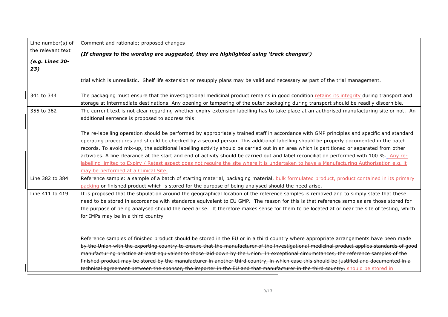| Line number(s) of      | Comment and rationale; proposed changes                                                                                                                                                                                                                                                                                                                                                                                                                                                                                                                                                                                                                                                                                                                           |
|------------------------|-------------------------------------------------------------------------------------------------------------------------------------------------------------------------------------------------------------------------------------------------------------------------------------------------------------------------------------------------------------------------------------------------------------------------------------------------------------------------------------------------------------------------------------------------------------------------------------------------------------------------------------------------------------------------------------------------------------------------------------------------------------------|
| the relevant text      | (If changes to the wording are suggested, they are highlighted using 'track changes')                                                                                                                                                                                                                                                                                                                                                                                                                                                                                                                                                                                                                                                                             |
| (e.g. Lines 20-<br>23) |                                                                                                                                                                                                                                                                                                                                                                                                                                                                                                                                                                                                                                                                                                                                                                   |
|                        | trial which is unrealistic. Shelf life extension or resupply plans may be valid and necessary as part of the trial management.                                                                                                                                                                                                                                                                                                                                                                                                                                                                                                                                                                                                                                    |
| 341 to 344             | The packaging must ensure that the investigational medicinal product remains in good condition-retains its integrity during transport and<br>storage at intermediate destinations. Any opening or tampering of the outer packaging during transport should be readily discernible.                                                                                                                                                                                                                                                                                                                                                                                                                                                                                |
| 355 to 362             | The current text is not clear regarding whether expiry extension labelling has to take place at an authorised manufacturing site or not. An<br>additional sentence is proposed to address this:                                                                                                                                                                                                                                                                                                                                                                                                                                                                                                                                                                   |
|                        | The re-labelling operation should be performed by appropriately trained staff in accordance with GMP principles and specific and standard<br>operating procedures and should be checked by a second person. This additional labelling should be properly documented in the batch<br>records. To avoid mix-up, the additional labelling activity should be carried out in an area which is partitioned or separated from other<br>activities. A line clearance at the start and end of activity should be carried out and label reconciliation performed with 100 %. Any re-<br>labelling limited to Expiry / Retest aspect does not require the site where it is undertaken to have a Manufacturing Authorisation e.g. it<br>may be performed at a Clinical Site. |
| Line 382 to 384        | Reference sample: a sample of a batch of starting material, packaging material, bulk formulated product, product contained in its primary<br>packing or finished product which is stored for the purpose of being analysed should the need arise.                                                                                                                                                                                                                                                                                                                                                                                                                                                                                                                 |
| Line 411 to 419        | It is proposed that the stipulation around the geographical location of the reference samples is removed and to simply state that these<br>need to be stored in accordance with standards equivalent to EU GMP. The reason for this is that reference samples are those stored for<br>the purpose of being analysed should the need arise. It therefore makes sense for them to be located at or near the site of testing, which<br>for IMPs may be in a third country                                                                                                                                                                                                                                                                                            |
|                        | Reference samples of finished product should be stored in the EU or in a third country where appropriate arrangements have been made<br>by the Union with the exporting country to ensure that the manufacturer of the investigational medicinal product applies standards of good<br>manufacturing practice at least equivalent to those laid down by the Union. In exceptional circumstances, the reference samples of the<br>finished product may be stored by the manufacturer in another third country, in which case this should be justified and documented in a<br>technical agreement between the sponsor, the importer in the EU and that manufacturer in the third country, should be stored in                                                        |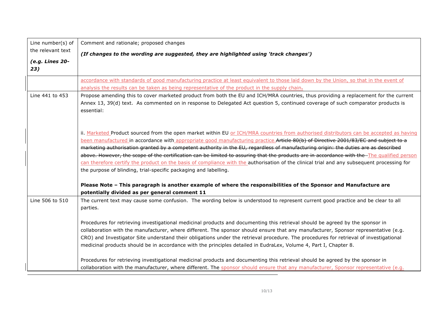| Line number(s) of      | Comment and rationale; proposed changes                                                                                                                                                                                                                                                                                                                                                                                                                                                                                                                                                                                                                                                                                                                                                 |
|------------------------|-----------------------------------------------------------------------------------------------------------------------------------------------------------------------------------------------------------------------------------------------------------------------------------------------------------------------------------------------------------------------------------------------------------------------------------------------------------------------------------------------------------------------------------------------------------------------------------------------------------------------------------------------------------------------------------------------------------------------------------------------------------------------------------------|
| the relevant text      | (If changes to the wording are suggested, they are highlighted using 'track changes')                                                                                                                                                                                                                                                                                                                                                                                                                                                                                                                                                                                                                                                                                                   |
| (e.g. Lines 20-<br>23) |                                                                                                                                                                                                                                                                                                                                                                                                                                                                                                                                                                                                                                                                                                                                                                                         |
|                        | accordance with standards of good manufacturing practice at least equivalent to those laid down by the Union, so that in the event of<br>analysis the results can be taken as being representative of the product in the supply chain.                                                                                                                                                                                                                                                                                                                                                                                                                                                                                                                                                  |
| Line 441 to 453        | Propose amending this to cover marketed product from both the EU and ICH/MRA countries, thus providing a replacement for the current<br>Annex 13, 39(d) text. As commented on in response to Delegated Act question 5, continued coverage of such comparator products is<br>essential:                                                                                                                                                                                                                                                                                                                                                                                                                                                                                                  |
|                        | ii. Marketed Product sourced from the open market within EU or ICH/MRA countries from authorised distributors can be accepted as having<br>been manufactured in accordance with appropriate good manufacturing practice.Article 80(b) of Directive 2001/83/EC and subject to a<br>marketing authorisation granted by a competent authority in the EU, regardless of manufacturing origin: the duties are as described<br>above. However, the scope of the certification can be limited to assuring that the products are in accordance with the The qualified person<br>can therefore certify the product on the basis of compliance with the authorisation of the clinical trial and any subsequent processing for<br>the purpose of blinding, trial-specific packaging and labelling. |
|                        | Please Note - This paragraph is another example of where the responsibilities of the Sponsor and Manufacture are<br>potentially divided as per general comment 11                                                                                                                                                                                                                                                                                                                                                                                                                                                                                                                                                                                                                       |
| Line 506 to 510        | The current text may cause some confusion. The wording below is understood to represent current good practice and be clear to all<br>parties.                                                                                                                                                                                                                                                                                                                                                                                                                                                                                                                                                                                                                                           |
|                        | Procedures for retrieving investigational medicinal products and documenting this retrieval should be agreed by the sponsor in<br>collaboration with the manufacturer, where different. The sponsor should ensure that any manufacturer, Sponsor representative (e.g.<br>CRO) and Investigator Site understand their obligations under the retrieval procedure. The procedures for retrieval of investigational<br>medicinal products should be in accordance with the principles detailed in EudraLex, Volume 4, Part I, Chapter 8.                                                                                                                                                                                                                                                    |
|                        | Procedures for retrieving investigational medicinal products and documenting this retrieval should be agreed by the sponsor in<br>collaboration with the manufacturer, where different. The sponsor should ensure that any manufacturer, Sponsor representative (e.g.                                                                                                                                                                                                                                                                                                                                                                                                                                                                                                                   |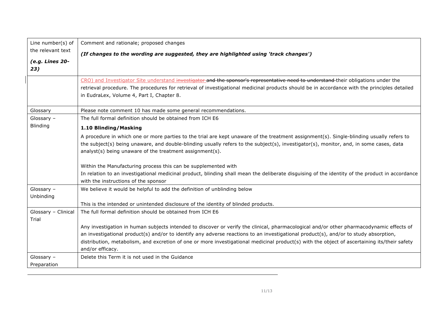| Line number(s) of            | Comment and rationale; proposed changes                                                                                                                                                                                                                                                                                                                                                                                                              |
|------------------------------|------------------------------------------------------------------------------------------------------------------------------------------------------------------------------------------------------------------------------------------------------------------------------------------------------------------------------------------------------------------------------------------------------------------------------------------------------|
| the relevant text            | (If changes to the wording are suggested, they are highlighted using 'track changes')                                                                                                                                                                                                                                                                                                                                                                |
| (e.g. Lines 20-<br>23)       |                                                                                                                                                                                                                                                                                                                                                                                                                                                      |
|                              | CRO) and Investigator Site understand investigator and the sponsor's representative need to understand-their obligations under the<br>retrieval procedure. The procedures for retrieval of investigational medicinal products should be in accordance with the principles detailed<br>in EudraLex, Volume 4, Part I, Chapter 8.                                                                                                                      |
| Glossary                     | Please note comment 10 has made some general recommendations.                                                                                                                                                                                                                                                                                                                                                                                        |
| Glossary $-$                 | The full formal definition should be obtained from ICH E6                                                                                                                                                                                                                                                                                                                                                                                            |
| Blinding                     | 1.10 Blinding/Masking                                                                                                                                                                                                                                                                                                                                                                                                                                |
|                              | A procedure in which one or more parties to the trial are kept unaware of the treatment assignment(s). Single-blinding usually refers to<br>the subject(s) being unaware, and double-blinding usually refers to the subject(s), investigator(s), monitor, and, in some cases, data<br>analyst(s) being unaware of the treatment assignment(s).                                                                                                       |
|                              | Within the Manufacturing process this can be supplemented with                                                                                                                                                                                                                                                                                                                                                                                       |
|                              | In relation to an investigational medicinal product, blinding shall mean the deliberate disguising of the identity of the product in accordance<br>with the instructions of the sponsor                                                                                                                                                                                                                                                              |
| Glossary -<br>Unbinding      | We believe it would be helpful to add the definition of unblinding below                                                                                                                                                                                                                                                                                                                                                                             |
|                              | This is the intended or unintended disclosure of the identity of blinded products.                                                                                                                                                                                                                                                                                                                                                                   |
| Glossary - Clinical<br>Trial | The full formal definition should be obtained from ICH E6                                                                                                                                                                                                                                                                                                                                                                                            |
|                              | Any investigation in human subjects intended to discover or verify the clinical, pharmacological and/or other pharmacodynamic effects of<br>an investigational product(s) and/or to identify any adverse reactions to an investigational product(s), and/or to study absorption,<br>distribution, metabolism, and excretion of one or more investigational medicinal product(s) with the object of ascertaining its/their safety<br>and/or efficacy. |
| Glossary $-$                 | Delete this Term it is not used in the Guidance                                                                                                                                                                                                                                                                                                                                                                                                      |
| Preparation                  |                                                                                                                                                                                                                                                                                                                                                                                                                                                      |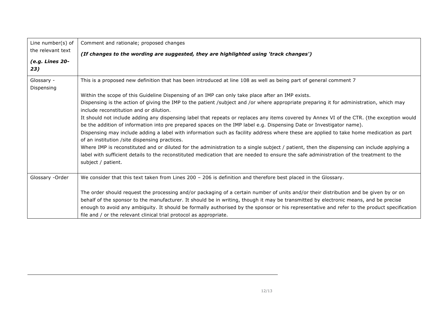| Line number(s) of | Comment and rationale; proposed changes                                                                                                                                                   |
|-------------------|-------------------------------------------------------------------------------------------------------------------------------------------------------------------------------------------|
| the relevant text | (If changes to the wording are suggested, they are highlighted using 'track changes')                                                                                                     |
| (e.g. Lines 20-   |                                                                                                                                                                                           |
| 23)               |                                                                                                                                                                                           |
| Glossary -        | This is a proposed new definition that has been introduced at line 108 as well as being part of general comment 7                                                                         |
| Dispensing        |                                                                                                                                                                                           |
|                   | Within the scope of this Guideline Dispensing of an IMP can only take place after an IMP exists.                                                                                          |
|                   | Dispensing is the action of giving the IMP to the patient /subject and /or where appropriate preparing it for administration, which may                                                   |
|                   | include reconstitution and or dilution.                                                                                                                                                   |
|                   | It should not include adding any dispensing label that repeats or replaces any items covered by Annex VI of the CTR. (the exception would                                                 |
|                   | be the addition of information into pre prepared spaces on the IMP label e.g. Dispensing Date or Investigator name).                                                                      |
|                   | Dispensing may include adding a label with information such as facility address where these are applied to take home medication as part<br>of an institution / site dispensing practices. |
|                   | Where IMP is reconstituted and or diluted for the administration to a single subject / patient, then the dispensing can include applying a                                                |
|                   | label with sufficient details to the reconstituted medication that are needed to ensure the safe administration of the treatment to the                                                   |
|                   | subject / patient.                                                                                                                                                                        |
| Glossary -Order   | We consider that this text taken from Lines $200 - 206$ is definition and therefore best placed in the Glossary.                                                                          |
|                   |                                                                                                                                                                                           |
|                   | The order should request the processing and/or packaging of a certain number of units and/or their distribution and be given by or on                                                     |
|                   | behalf of the sponsor to the manufacturer. It should be in writing, though it may be transmitted by electronic means, and be precise                                                      |
|                   | enough to avoid any ambiguity. It should be formally authorised by the sponsor or his representative and refer to the product specification                                               |
|                   | file and / or the relevant clinical trial protocol as appropriate.                                                                                                                        |